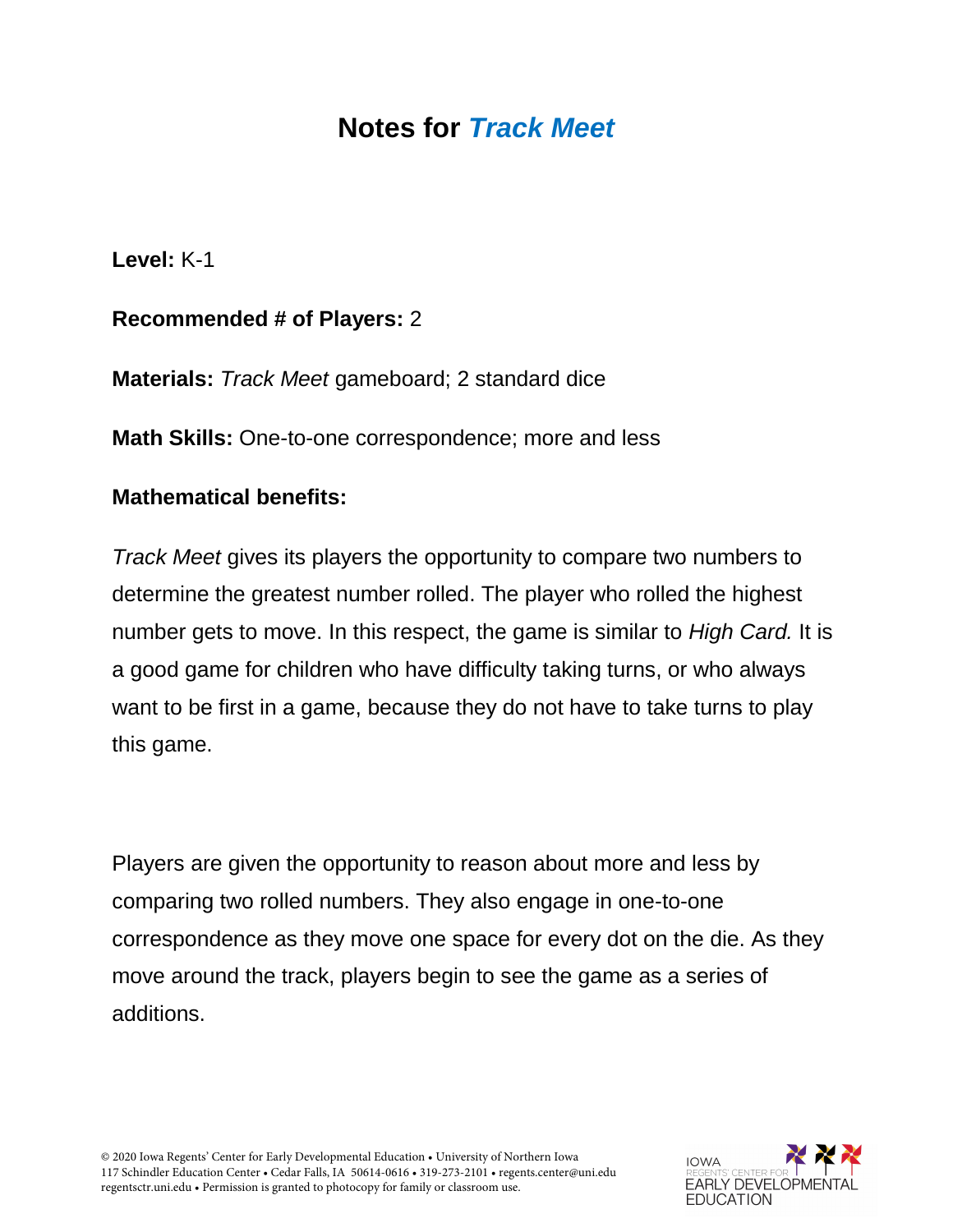# **Notes for** *Track Meet*

**Level:** K-1

## **Recommended # of Players:** 2

**Materials:** *Track Meet* gameboard; 2 standard dice

**Math Skills:** One-to-one correspondence; more and less

#### **Mathematical benefits:**

*Track Meet* gives its players the opportunity to compare two numbers to determine the greatest number rolled. The player who rolled the highest number gets to move. In this respect, the game is similar to *High Card.* It is a good game for children who have difficulty taking turns, or who always want to be first in a game, because they do not have to take turns to play this game.

Players are given the opportunity to reason about more and less by comparing two rolled numbers. They also engage in one-to-one correspondence as they move one space for every dot on the die. As they move around the track, players begin to see the game as a series of additions.

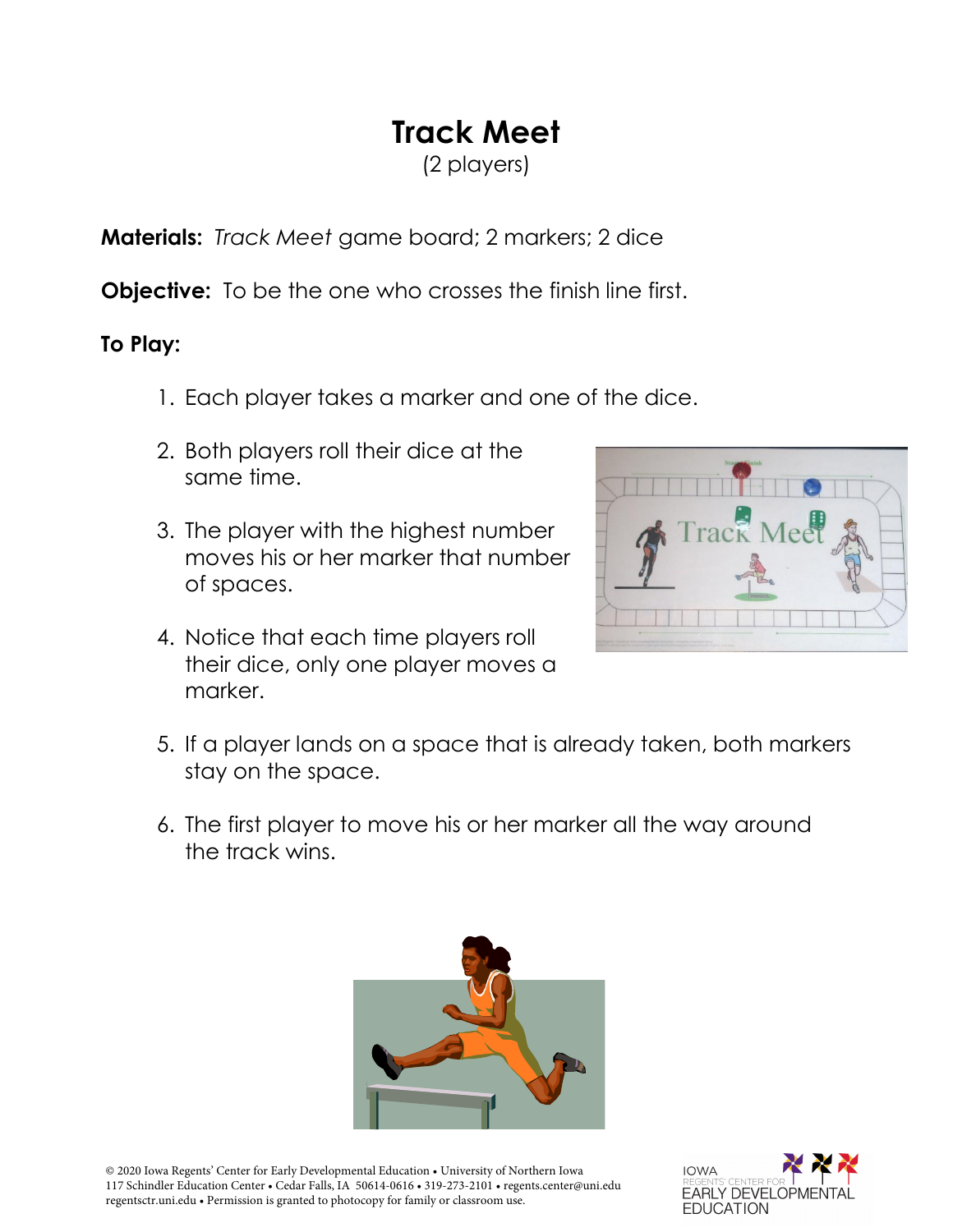# **Track Meet**

(2 players)

**Materials:** *Track Meet* game board; 2 markers; 2 dice

**Objective:** To be the one who crosses the finish line first.

## **To Play:**

- 1. Each player takes a marker and one of the dice.
- 2. Both players roll their dice at the same time.
- 3. The player with the highest number moves his or her marker that number of spaces.
- 4. Notice that each time players roll their dice, only one player moves a marker.



- 5. If a player lands on a space that is already taken, both markers stay on the space.
- 6. The first player to move his or her marker all the way around the track wins.



© 2020 Iowa Regents' Center for Early Developmental Education • University of Northern Iowa 117 Schindler Education Center • Cedar Falls, IA 50614-0616 • 319-273-2101 • regents.center@uni.edu regentsctr.uni.edu • Permission is granted to photocopy for family or classroom use.